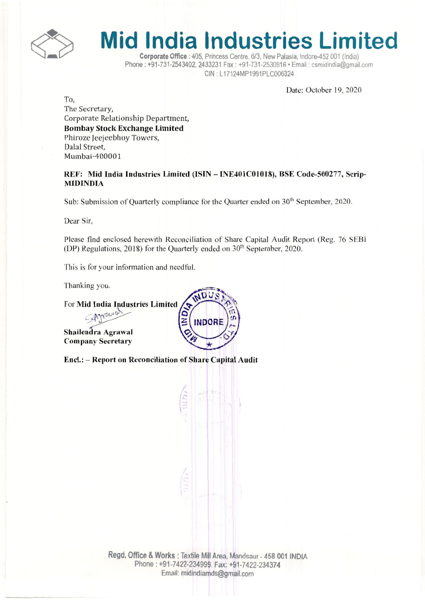

## **Mid India Industries Limited**

Corporate Office: 405, Princess Centre, *6/3,* New Palasia, Indore-452 001 (India) Phone: +91-731-2543402, 2433231 Fax: +91-731-2530916· Email: csmidindia@gmail.com CIN : L17124MP1991PLC006324

Date: October 19, 2020

*To,*

The Secretary, Corporate Relationship Department, Bombay Stock Exchange Limited Phiroze leejeebhoy Towers, Dalal Street, Mumbai-400001

REF: Mid India Industries Limited (ISIN - INE401C01018), BSE Code-500277, Scrip-MIDINDIA

Sub: Submission of Ouarterly compliance for the Quarter ended on  $30<sup>th</sup>$  September, 2020.

Dear Sir,

Please find enclosed herewith Reconciliation of Share Capital Audit Report (Reg. 76 SEBl (DP) Regulations, 2018) for the Quarterly ended on 30<sup>th</sup> September, 2020.

**INDORE** 

This is for your information and needful.

Thanking you.

For Mid India Industries Limited

SAJNONIO

Shailendra Agrawal **Company Secretary** 

Encl.: - Report on Reconciliation of Share Capital Audit

Regd. Office & Works: Textile Mill Area, Mandsaur - 458 001 INDIA Phone: +91-7422-234999. Fax: +91-7422-234374 Email: midindiamds@gmail.com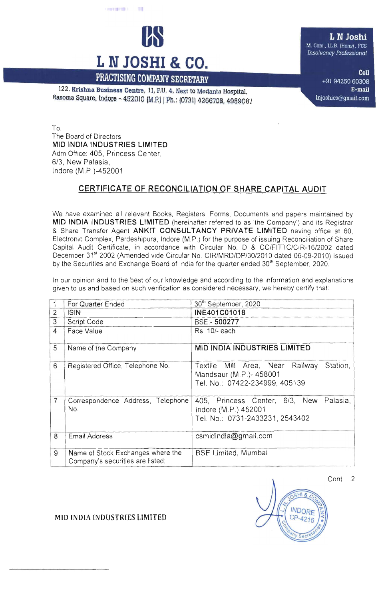

122. Krishna Business Centre, 11,P.U. 4, Next to Medanta Hospital, Rasoma Square, Indore - 452010 (M.P.) | Ph.: (0731) 4266708, 4959087

L N Joshi M. Com., LL.B. (Hons), FCS *lnsotvency Professional*

> Cell +91 94250 60308 E-mail lnjoshics@gmail.com

To, The Board of Directors MID INDIA INDUSTRIES LIMITED Adm Office: 405, Princess Center, *6/3,* New Palasia, Indore (M.P, )-452001

## CERTIFICATE OF RECONCILIATION OF SHARE CAPITAL AUDIT

We have examined all relevant Books, Registers, Forms. Documents and papers maintained by MID INDIA INDUSTRIES LIMITED (hereinafter referred to as 'the Company') and its Registrar & Share Transfer Agent ANKIT CONSULTANCY PRIVATE LIMITED having office at 60, Electronic Complex, Pardeshipura, Indore (M.P.) for the purpose of issuing Reconciliation of Share Capital Audit Certificate, in accordance with Circular No. D & *CC/FITTC/CIR-16/2002* dated December 31st 2002 (Amended vide Circular No. CIR/MRD/DP/30/2010 dated 06-09-2010) issued by the Securities and Exchange Board of India for the quarter ended 30<sup>th</sup> September, 2020.

In our opinion and to the best of our knowledge and according to the information and explanations given to us and based on such verification as considered necessary, we hereby certify that

|                | For Quarter Ended                                                     | 30 <sup>th</sup> September, 2020                                                                        |
|----------------|-----------------------------------------------------------------------|---------------------------------------------------------------------------------------------------------|
| $\overline{2}$ | <b>ISIN</b>                                                           | INE401C01018                                                                                            |
| $\overline{3}$ | Script Code                                                           | BSE:- 500277                                                                                            |
| $\overline{4}$ | Face Value                                                            | Rs. 10/- each                                                                                           |
| 5              | Name of the Company                                                   | <b>MID INDIA INDUSTRIES LIMITED</b>                                                                     |
| 6              | Registered Office, Telephone No.                                      | Station,<br>Textile Mill Area, Near Railway<br>Mandsaur (M.P.)-458001<br>Tel. No.: 07422-234999, 405139 |
| 7              | Correspondence Address, Telephone<br>No.                              | 405, Princess Center, 6/3, New<br>Palasia,<br>Indore (M.P.) 452001<br>Tel. No.: 0731-2433231, 2543402   |
| 8              | <b>Email Address</b>                                                  | csmidindia@gmail.com                                                                                    |
| 9              | Name of Stock Exchanges where the<br>Company's securities are listed: | <b>BSE Limited, Mumbai</b>                                                                              |



MID (NOlA INDUSTRIES LIMITED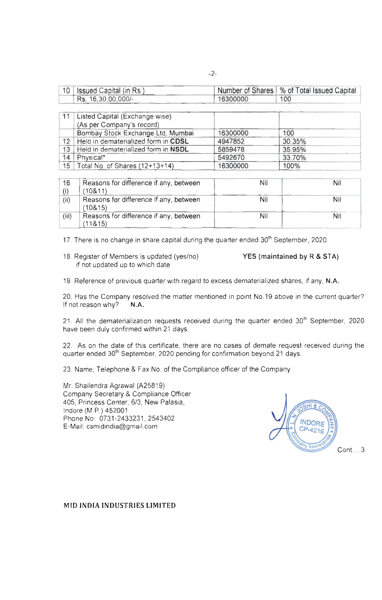| 10 | Issued Capital (in Rs.) |          | Number of Shares   % of Total Issued Capital |
|----|-------------------------|----------|----------------------------------------------|
|    | Rs. 16,30,00,000/-      | 16300000 | 100                                          |

|                 | Listed Capital (Excitative Wise)    |          |        |  |
|-----------------|-------------------------------------|----------|--------|--|
|                 | (As per Company's record)           |          |        |  |
|                 | Bombay Stock Exchange Ltd, Mumbai   | 16300000 | 100    |  |
| 12              | Held in dematerialized form in CDSL | 4947852  | 30.35% |  |
| 13 <sup>°</sup> | Held in dematerialized form in NSDL | 5859478  | 35.95% |  |
| 14              | Physical*                           | 5492670  | 33.70% |  |
| 15              | Total No. of Shares (12+13+14)      | 16300000 | 100%   |  |

| 16    | Reasons for difference if any, between             | Nil | Nil |
|-------|----------------------------------------------------|-----|-----|
| (i)   | (10811)                                            |     |     |
| (ii)  | Reasons for difference if any, between<br>(108.15) | Nil | Nil |
| (iii) | Reasons for difference if any, between<br>(11815)  | Nil | Nil |

17. There is no change in share capital during the quarter ended 30<sup>th</sup> September, 2020.

18. Register of Members is updated (yes/no) YES (maintained by R & STA) if not updated up to which date

19 Reference of previous quarter with regard to excess dematerialized shares, if any, N.A.

20. Has the Company resolved the matter mentioned in point No. 19 above in the current quarter?<br>If not reason why? N.A. If not reason why?

21. All the dematerialization requests received during the quarter ended  $30<sup>th</sup>$  September, 2020 have been duly confirmed within 21 days.

22. As on the date of this certificate, there are no cases of demate request received during the quarter ended 30<sup>th</sup> September, 2020 pending for confirmation beyond 21 days.

23. Name, Telephone & Fax No. of the Compliance officer of the Company:

Mr. Shailendra Agrawal (A25819) Company Secretary & Compliance Officer 405, Princess Center, 6/3, New Palasia, Indore (M.P.) 452001 Phone No: 0731-2433231, 2543402 E-Mail: csmidindia@gmail.com

 $HI$   $g$ **INDORE** CP-4216 Cont ... 3

MID INDIA INDUSTRIES LIMITED